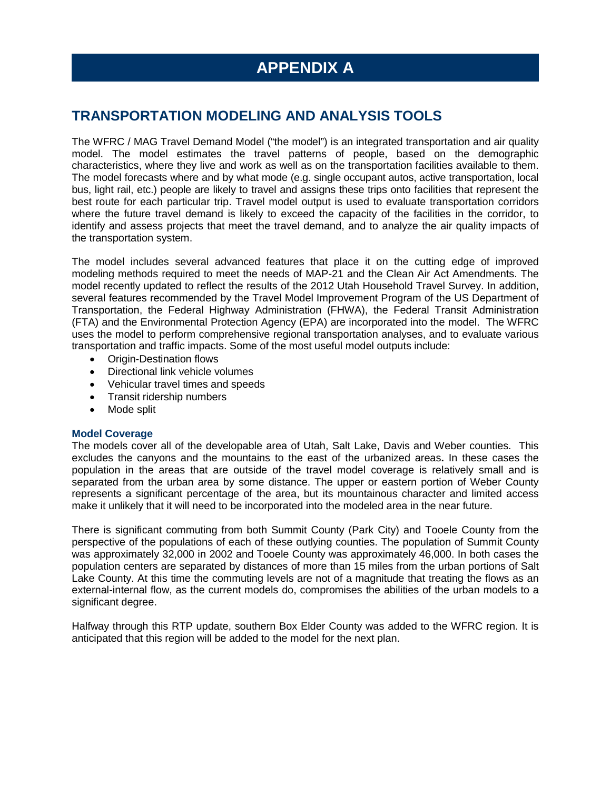# **TRANSPORTATION MODELING AND ANALYSIS TOOLS**

The WFRC / MAG Travel Demand Model ("the model") is an integrated transportation and air quality model. The model estimates the travel patterns of people, based on the demographic characteristics, where they live and work as well as on the transportation facilities available to them. The model forecasts where and by what mode (e.g. single occupant autos, active transportation, local bus, light rail, etc.) people are likely to travel and assigns these trips onto facilities that represent the best route for each particular trip. Travel model output is used to evaluate transportation corridors where the future travel demand is likely to exceed the capacity of the facilities in the corridor, to identify and assess projects that meet the travel demand, and to analyze the air quality impacts of the transportation system.

The model includes several advanced features that place it on the cutting edge of improved modeling methods required to meet the needs of MAP-21 and the Clean Air Act Amendments. The model recently updated to reflect the results of the 2012 Utah Household Travel Survey. In addition, several features recommended by the Travel Model Improvement Program of the US Department of Transportation, the Federal Highway Administration (FHWA), the Federal Transit Administration (FTA) and the Environmental Protection Agency (EPA) are incorporated into the model. The WFRC uses the model to perform comprehensive regional transportation analyses, and to evaluate various transportation and traffic impacts. Some of the most useful model outputs include:

- Origin-Destination flows
- Directional link vehicle volumes
- Vehicular travel times and speeds
- Transit ridership numbers
- Mode split

## **Model Coverage**

The models cover all of the developable area of Utah, Salt Lake, Davis and Weber counties. This excludes the canyons and the mountains to the east of the urbanized areas**.** In these cases the population in the areas that are outside of the travel model coverage is relatively small and is separated from the urban area by some distance. The upper or eastern portion of Weber County represents a significant percentage of the area, but its mountainous character and limited access make it unlikely that it will need to be incorporated into the modeled area in the near future.

There is significant commuting from both Summit County (Park City) and Tooele County from the perspective of the populations of each of these outlying counties. The population of Summit County was approximately 32,000 in 2002 and Tooele County was approximately 46,000. In both cases the population centers are separated by distances of more than 15 miles from the urban portions of Salt Lake County. At this time the commuting levels are not of a magnitude that treating the flows as an external-internal flow, as the current models do, compromises the abilities of the urban models to a significant degree.

Halfway through this RTP update, southern Box Elder County was added to the WFRC region. It is anticipated that this region will be added to the model for the next plan.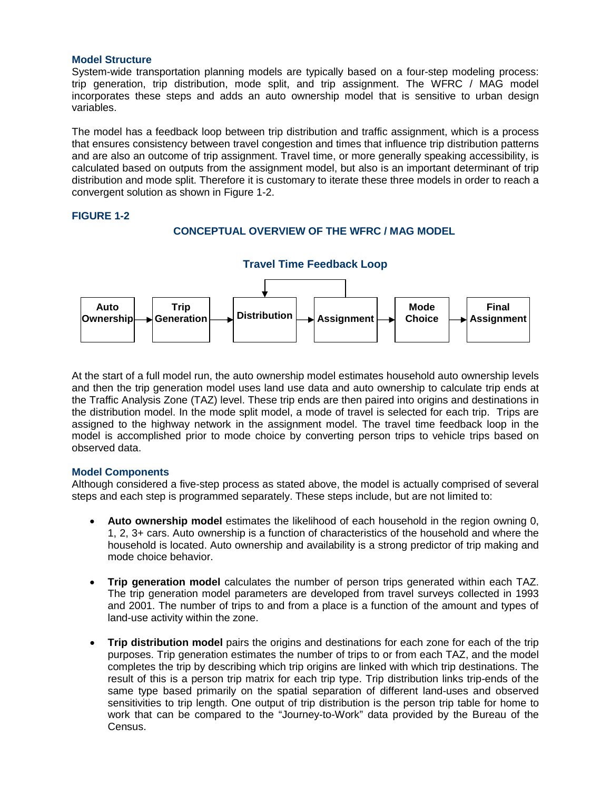#### **Model Structure**

System-wide transportation planning models are typically based on a four-step modeling process: trip generation, trip distribution, mode split, and trip assignment. The WFRC / MAG model incorporates these steps and adds an auto ownership model that is sensitive to urban design variables.

The model has a feedback loop between trip distribution and traffic assignment, which is a process that ensures consistency between travel congestion and times that influence trip distribution patterns and are also an outcome of trip assignment. Travel time, or more generally speaking accessibility, is calculated based on outputs from the assignment model, but also is an important determinant of trip distribution and mode split. Therefore it is customary to iterate these three models in order to reach a convergent solution as shown in Figure 1-2.

## **FIGURE 1-2**

## **CONCEPTUAL OVERVIEW OF THE WFRC / MAG MODEL**



At the start of a full model run, the auto ownership model estimates household auto ownership levels and then the trip generation model uses land use data and auto ownership to calculate trip ends at the Traffic Analysis Zone (TAZ) level. These trip ends are then paired into origins and destinations in the distribution model. In the mode split model, a mode of travel is selected for each trip. Trips are assigned to the highway network in the assignment model. The travel time feedback loop in the model is accomplished prior to mode choice by converting person trips to vehicle trips based on observed data.

## **Model Components**

Although considered a five-step process as stated above, the model is actually comprised of several steps and each step is programmed separately. These steps include, but are not limited to:

- **Auto ownership model** estimates the likelihood of each household in the region owning 0, 1, 2, 3+ cars. Auto ownership is a function of characteristics of the household and where the household is located. Auto ownership and availability is a strong predictor of trip making and mode choice behavior.
- **Trip generation model** calculates the number of person trips generated within each TAZ. The trip generation model parameters are developed from travel surveys collected in 1993 and 2001. The number of trips to and from a place is a function of the amount and types of land-use activity within the zone.
- **Trip distribution model** pairs the origins and destinations for each zone for each of the trip purposes. Trip generation estimates the number of trips to or from each TAZ, and the model completes the trip by describing which trip origins are linked with which trip destinations. The result of this is a person trip matrix for each trip type. Trip distribution links trip-ends of the same type based primarily on the spatial separation of different land-uses and observed sensitivities to trip length. One output of trip distribution is the person trip table for home to work that can be compared to the "Journey-to-Work" data provided by the Bureau of the Census.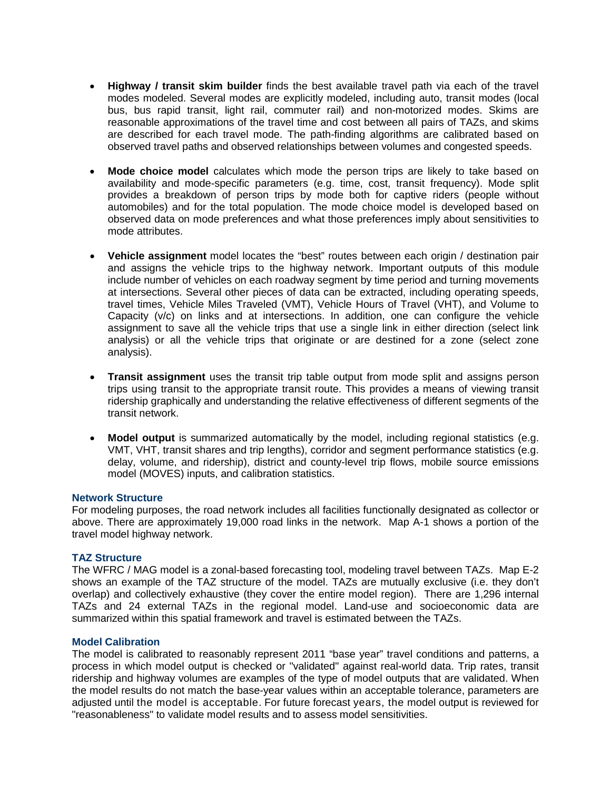- **Highway / transit skim builder** finds the best available travel path via each of the travel modes modeled. Several modes are explicitly modeled, including auto, transit modes (local bus, bus rapid transit, light rail, commuter rail) and non-motorized modes. Skims are reasonable approximations of the travel time and cost between all pairs of TAZs, and skims are described for each travel mode. The path-finding algorithms are calibrated based on observed travel paths and observed relationships between volumes and congested speeds.
- **Mode choice model** calculates which mode the person trips are likely to take based on availability and mode-specific parameters (e.g. time, cost, transit frequency). Mode split provides a breakdown of person trips by mode both for captive riders (people without automobiles) and for the total population. The mode choice model is developed based on observed data on mode preferences and what those preferences imply about sensitivities to mode attributes.
- **Vehicle assignment** model locates the "best" routes between each origin / destination pair and assigns the vehicle trips to the highway network. Important outputs of this module include number of vehicles on each roadway segment by time period and turning movements at intersections. Several other pieces of data can be extracted, including operating speeds, travel times, Vehicle Miles Traveled (VMT), Vehicle Hours of Travel (VHT), and Volume to Capacity (v/c) on links and at intersections. In addition, one can configure the vehicle assignment to save all the vehicle trips that use a single link in either direction (select link analysis) or all the vehicle trips that originate or are destined for a zone (select zone analysis).
- **Transit assignment** uses the transit trip table output from mode split and assigns person trips using transit to the appropriate transit route. This provides a means of viewing transit ridership graphically and understanding the relative effectiveness of different segments of the transit network.
- **Model output** is summarized automatically by the model, including regional statistics (e.g. VMT, VHT, transit shares and trip lengths), corridor and segment performance statistics (e.g. delay, volume, and ridership), district and county-level trip flows, mobile source emissions model (MOVES) inputs, and calibration statistics.

#### **Network Structure**

For modeling purposes, the road network includes all facilities functionally designated as collector or above. There are approximately 19,000 road links in the network. Map A-1 shows a portion of the travel model highway network.

## **TAZ Structure**

The WFRC / MAG model is a zonal-based forecasting tool, modeling travel between TAZs. Map E-2 shows an example of the TAZ structure of the model. TAZs are mutually exclusive (i.e. they don't overlap) and collectively exhaustive (they cover the entire model region). There are 1,296 internal TAZs and 24 external TAZs in the regional model. Land-use and socioeconomic data are summarized within this spatial framework and travel is estimated between the TAZs.

## **Model Calibration**

The model is calibrated to reasonably represent 2011 "base year" travel conditions and patterns, a process in which model output is checked or "validated" against real-world data. Trip rates, transit ridership and highway volumes are examples of the type of model outputs that are validated. When the model results do not match the base-year values within an acceptable tolerance, parameters are adjusted until the model is acceptable. For future forecast years, the model output is reviewed for "reasonableness" to validate model results and to assess model sensitivities.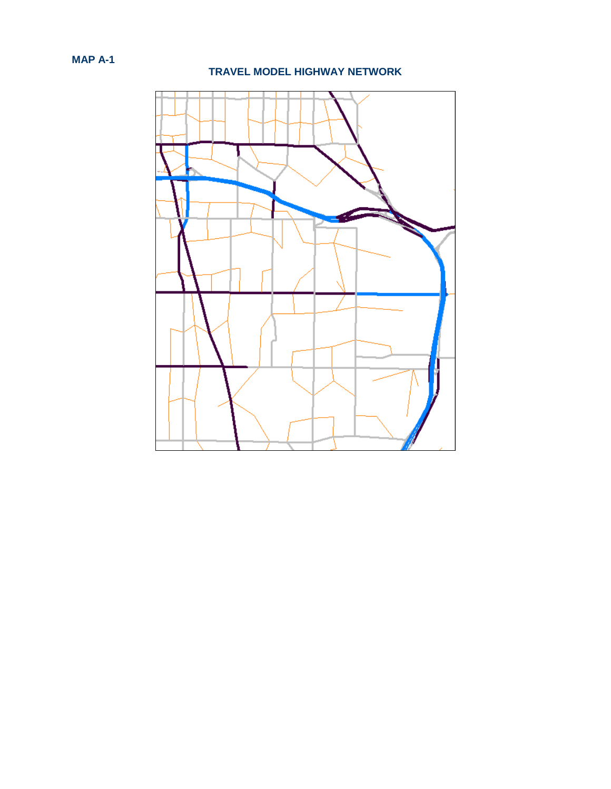## **TRAVEL MODEL HIGHWAY NETWORK**